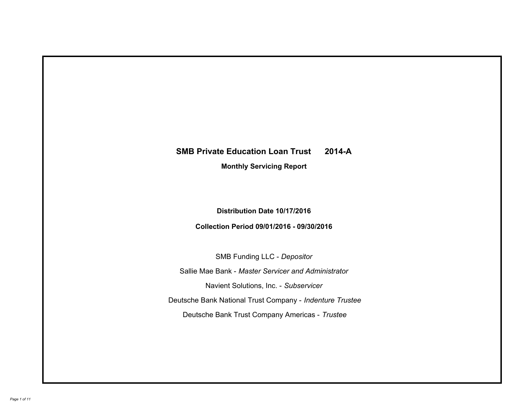# **SMB Private Education Loan Trust 2014-A Monthly Servicing Report**

# **Distribution Date 10/17/2016**

# **Collection Period 09/01/2016 - 09/30/2016**

SMB Funding LLC - *Depositor*

Sallie Mae Bank - *Master Servicer and Administrator*

Navient Solutions, Inc. - *Subservicer*

Deutsche Bank National Trust Company - *Indenture Trustee*

Deutsche Bank Trust Company Americas - *Trustee*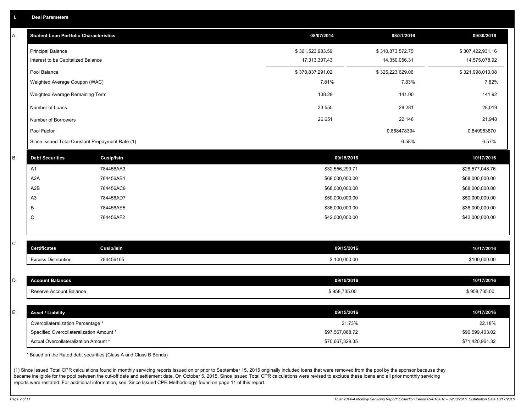|  | <b>Deal Parameters</b> |  |
|--|------------------------|--|
|  |                        |  |

| Α | <b>Student Loan Portfolio Characteristics</b>   |                   | 08/07/2014       | 08/31/2016       | 09/30/2016       |
|---|-------------------------------------------------|-------------------|------------------|------------------|------------------|
|   | <b>Principal Balance</b>                        |                   | \$361,523,983.59 | \$310,873,572.75 | \$307,422,931.16 |
|   | Interest to be Capitalized Balance              |                   | 17,313,307.43    | 14,350,056.31    | 14,575,078.92    |
|   | Pool Balance                                    |                   | \$378,837,291.02 | \$325,223,629.06 | \$321,998,010.08 |
|   | Weighted Average Coupon (WAC)                   |                   | 7.81%            | 7.83%            | 7.82%            |
|   | Weighted Average Remaining Term                 |                   | 138.29           | 141.00           | 141.92           |
|   | Number of Loans                                 |                   | 33,555           | 28,281           | 28,019           |
|   | Number of Borrowers                             |                   | 26,651           | 22,146           | 21,948           |
|   | Pool Factor                                     |                   |                  | 0.858478394      | 0.849963870      |
|   | Since Issued Total Constant Prepayment Rate (1) |                   |                  | 6.58%            | 6.57%            |
| B | <b>Debt Securities</b>                          | <b>Cusip/Isin</b> | 09/15/2016       |                  | 10/17/2016       |
|   | A1                                              | 784456AA3         | \$32,556,299.71  |                  | \$28,577,048.76  |
|   | A2A                                             | 784456AB1         | \$68,000,000.00  |                  | \$68,000,000.00  |
|   | A <sub>2</sub> B                                | 784456AC9         | \$68,000,000.00  |                  | \$68,000,000.00  |
|   | A <sub>3</sub>                                  | 784456AD7         | \$50,000,000.00  |                  | \$50,000,000.00  |
|   | B                                               | 784456AE5         | \$36,000,000.00  |                  | \$36,000,000.00  |
|   | C                                               | 784456AF2         | \$42,000,000.00  |                  | \$42,000,000.00  |
|   |                                                 |                   |                  |                  |                  |
| С | <b>Certificates</b>                             | Cusip/Isin        | 09/15/2016       |                  | 10/17/2016       |
|   | <b>Excess Distribution</b>                      | 784456105         | \$100,000.00     |                  | \$100,000.00     |
|   |                                                 |                   |                  |                  |                  |
| D | <b>Account Balances</b>                         |                   | 09/15/2016       |                  | 10/17/2016       |
|   | Reserve Account Balance                         |                   | \$958,735.00     |                  | \$958,735.00     |
|   |                                                 |                   |                  |                  |                  |
| E | <b>Asset / Liability</b>                        |                   | 09/15/2016       |                  | 10/17/2016       |
|   | Overcollateralization Percentage *              |                   | 21.73%           |                  | 22.18%           |
|   | Specified Overcollateralization Amount *        |                   | \$97,567,088.72  |                  | \$96,599,403.02  |
|   | Actual Overcollateralization Amount *           |                   | \$70,667,329.35  |                  | \$71,420,961.32  |

\* Based on the Rated debt securities (Class A and Class B Bonds)

(1) Since Issued Total CPR calculations found in monthly servicing reports issued on or prior to September 15, 2015 originally included loans that were removed from the pool by the sponsor because they became ineligible for the pool between the cut-off date and settlement date. On October 5, 2015, Since Issued Total CPR calculations were revised to exclude these loans and all prior monthly servicing reports were restated. For additional information, see 'Since Issued CPR Methodology' found on page 11 of this report.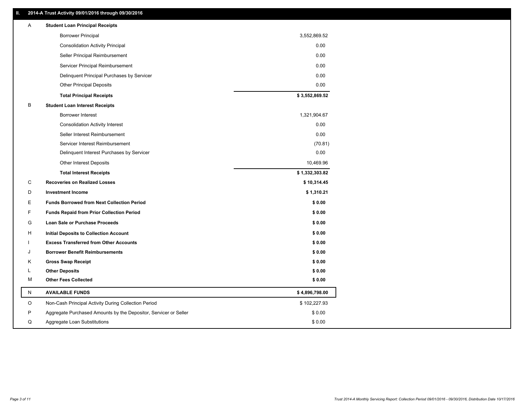## **II. 2014-A Trust Activity 09/01/2016 through 09/30/2016**

| Α         | <b>Student Loan Principal Receipts</b>                           |                |
|-----------|------------------------------------------------------------------|----------------|
|           | <b>Borrower Principal</b>                                        | 3,552,869.52   |
|           | <b>Consolidation Activity Principal</b>                          | 0.00           |
|           | Seller Principal Reimbursement                                   | 0.00           |
|           | Servicer Principal Reimbursement                                 | 0.00           |
|           | Delinquent Principal Purchases by Servicer                       | 0.00           |
|           | <b>Other Principal Deposits</b>                                  | 0.00           |
|           | <b>Total Principal Receipts</b>                                  | \$3,552,869.52 |
| B         | <b>Student Loan Interest Receipts</b>                            |                |
|           | <b>Borrower Interest</b>                                         | 1,321,904.67   |
|           | <b>Consolidation Activity Interest</b>                           | 0.00           |
|           | Seller Interest Reimbursement                                    | 0.00           |
|           | Servicer Interest Reimbursement                                  | (70.81)        |
|           | Delinquent Interest Purchases by Servicer                        | 0.00           |
|           | <b>Other Interest Deposits</b>                                   | 10,469.96      |
|           | <b>Total Interest Receipts</b>                                   | \$1,332,303.82 |
| С         | <b>Recoveries on Realized Losses</b>                             | \$10,314.45    |
| D         | <b>Investment Income</b>                                         | \$1,310.21     |
| Е         | <b>Funds Borrowed from Next Collection Period</b>                | \$0.00         |
| F         | <b>Funds Repaid from Prior Collection Period</b>                 | \$0.00         |
| G         | Loan Sale or Purchase Proceeds                                   | \$0.00         |
| н         | Initial Deposits to Collection Account                           | \$0.00         |
|           | <b>Excess Transferred from Other Accounts</b>                    | \$0.00         |
|           | <b>Borrower Benefit Reimbursements</b>                           | \$0.00         |
| Κ         | <b>Gross Swap Receipt</b>                                        | \$0.00         |
| L         | <b>Other Deposits</b>                                            | \$0.00         |
| м         | <b>Other Fees Collected</b>                                      | \$0.00         |
| ${\sf N}$ | <b>AVAILABLE FUNDS</b>                                           | \$4,896,798.00 |
| O         | Non-Cash Principal Activity During Collection Period             | \$102,227.93   |
| P         | Aggregate Purchased Amounts by the Depositor, Servicer or Seller | \$0.00         |
| Q         | Aggregate Loan Substitutions                                     | \$0.00         |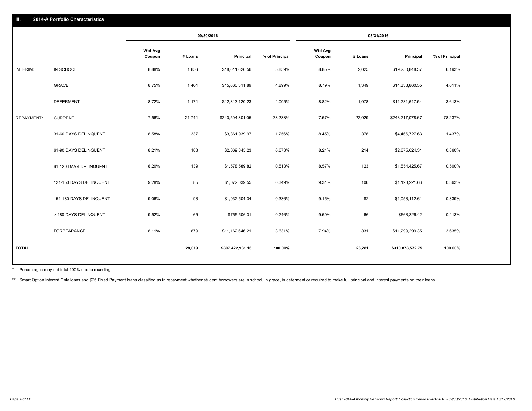|                   |                         |                          | 09/30/2016 |                  | 08/31/2016     |                          |         |                  |                |
|-------------------|-------------------------|--------------------------|------------|------------------|----------------|--------------------------|---------|------------------|----------------|
|                   |                         | <b>Wtd Avg</b><br>Coupon | # Loans    | Principal        | % of Principal | <b>Wtd Avg</b><br>Coupon | # Loans | Principal        | % of Principal |
| INTERIM:          | IN SCHOOL               | 8.88%                    | 1,856      | \$18,011,626.56  | 5.859%         | 8.85%                    | 2,025   | \$19,250,848.37  | 6.193%         |
|                   | GRACE                   | 8.75%                    | 1,464      | \$15,060,311.89  | 4.899%         | 8.79%                    | 1,349   | \$14,333,860.55  | 4.611%         |
|                   | <b>DEFERMENT</b>        | 8.72%                    | 1,174      | \$12,313,120.23  | 4.005%         | 8.82%                    | 1,078   | \$11,231,647.54  | 3.613%         |
| <b>REPAYMENT:</b> | <b>CURRENT</b>          | 7.56%                    | 21,744     | \$240,504,801.05 | 78.233%        | 7.57%                    | 22,029  | \$243,217,078.67 | 78.237%        |
|                   | 31-60 DAYS DELINQUENT   | 8.58%                    | 337        | \$3,861,939.97   | 1.256%         | 8.45%                    | 378     | \$4,466,727.63   | 1.437%         |
|                   | 61-90 DAYS DELINQUENT   | 8.21%                    | 183        | \$2,069,845.23   | 0.673%         | 8.24%                    | 214     | \$2,675,024.31   | 0.860%         |
|                   | 91-120 DAYS DELINQUENT  | 8.20%                    | 139        | \$1,578,589.82   | 0.513%         | 8.57%                    | 123     | \$1,554,425.67   | 0.500%         |
|                   | 121-150 DAYS DELINQUENT | 9.28%                    | 85         | \$1,072,039.55   | 0.349%         | 9.31%                    | 106     | \$1,128,221.63   | 0.363%         |
|                   | 151-180 DAYS DELINQUENT | 9.06%                    | 93         | \$1,032,504.34   | 0.336%         | 9.15%                    | 82      | \$1,053,112.61   | 0.339%         |
|                   | > 180 DAYS DELINQUENT   | 9.52%                    | 65         | \$755,506.31     | 0.246%         | 9.59%                    | 66      | \$663,326.42     | 0.213%         |
|                   | FORBEARANCE             | 8.11%                    | 879        | \$11,162,646.21  | 3.631%         | 7.94%                    | 831     | \$11,299,299.35  | 3.635%         |
| <b>TOTAL</b>      |                         |                          | 28,019     | \$307,422,931.16 | 100.00%        |                          | 28,281  | \$310,873,572.75 | 100.00%        |

Percentages may not total 100% due to rounding \*

\*\* Smart Option Interest Only loans and \$25 Fixed Payment loans classified as in repayment whether student borrowers are in school, in grace, in deferment or required to make full principal and interest payments on their l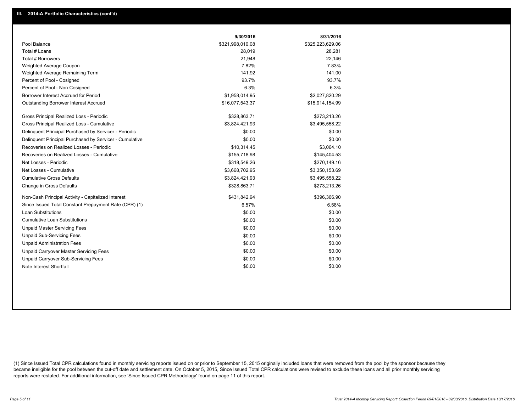|                                                         | 9/30/2016        | 8/31/2016        |
|---------------------------------------------------------|------------------|------------------|
| Pool Balance                                            | \$321,998,010.08 | \$325,223,629.06 |
| Total # Loans                                           | 28,019           | 28,281           |
| Total # Borrowers                                       | 21,948           | 22,146           |
| Weighted Average Coupon                                 | 7.82%            | 7.83%            |
| Weighted Average Remaining Term                         | 141.92           | 141.00           |
| Percent of Pool - Cosigned                              | 93.7%            | 93.7%            |
| Percent of Pool - Non Cosigned                          | 6.3%             | 6.3%             |
| Borrower Interest Accrued for Period                    | \$1,958,014.95   | \$2,027,820.29   |
| Outstanding Borrower Interest Accrued                   | \$16,077,543.37  | \$15,914,154.99  |
| Gross Principal Realized Loss - Periodic                | \$328,863.71     | \$273,213.26     |
| Gross Principal Realized Loss - Cumulative              | \$3,824,421.93   | \$3,495,558.22   |
| Delinquent Principal Purchased by Servicer - Periodic   | \$0.00           | \$0.00           |
| Delinguent Principal Purchased by Servicer - Cumulative | \$0.00           | \$0.00           |
| Recoveries on Realized Losses - Periodic                | \$10,314.45      | \$3,064.10       |
| Recoveries on Realized Losses - Cumulative              | \$155,718.98     | \$145,404.53     |
| Net Losses - Periodic                                   | \$318,549.26     | \$270,149.16     |
| Net Losses - Cumulative                                 | \$3,668,702.95   | \$3,350,153.69   |
| <b>Cumulative Gross Defaults</b>                        | \$3,824,421.93   | \$3,495,558.22   |
| Change in Gross Defaults                                | \$328,863.71     | \$273,213.26     |
| Non-Cash Principal Activity - Capitalized Interest      | \$431,842.94     | \$396,366.90     |
| Since Issued Total Constant Prepayment Rate (CPR) (1)   | 6.57%            | 6.58%            |
| <b>Loan Substitutions</b>                               | \$0.00           | \$0.00           |
| <b>Cumulative Loan Substitutions</b>                    | \$0.00           | \$0.00           |
| <b>Unpaid Master Servicing Fees</b>                     | \$0.00           | \$0.00           |
| <b>Unpaid Sub-Servicing Fees</b>                        | \$0.00           | \$0.00           |
| <b>Unpaid Administration Fees</b>                       | \$0.00           | \$0.00           |
| Unpaid Carryover Master Servicing Fees                  | \$0.00           | \$0.00           |
| Unpaid Carryover Sub-Servicing Fees                     | \$0.00           | \$0.00           |
| Note Interest Shortfall                                 | \$0.00           | \$0.00           |

(1) Since Issued Total CPR calculations found in monthly servicing reports issued on or prior to September 15, 2015 originally included loans that were removed from the pool by the sponsor because they became ineligible for the pool between the cut-off date and settlement date. On October 5, 2015, Since Issued Total CPR calculations were revised to exclude these loans and all prior monthly servicing reports were restated. For additional information, see 'Since Issued CPR Methodology' found on page 11 of this report.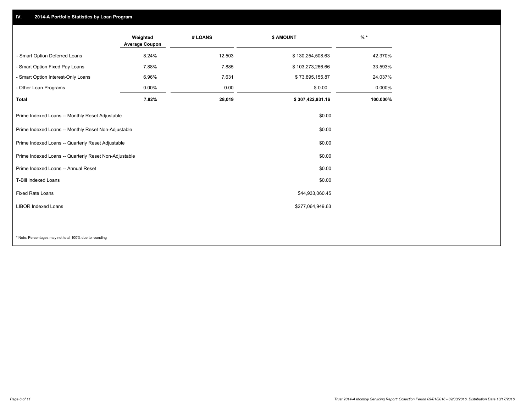## **IV. 2014-A Portfolio Statistics by Loan Program**

|                                                       | Weighted<br><b>Average Coupon</b> | # LOANS | <b>\$ AMOUNT</b> | $%$ *    |
|-------------------------------------------------------|-----------------------------------|---------|------------------|----------|
| - Smart Option Deferred Loans                         | 8.24%                             | 12,503  | \$130,254,508.63 | 42.370%  |
| - Smart Option Fixed Pay Loans                        | 7.88%                             | 7,885   | \$103,273,266.66 | 33.593%  |
| - Smart Option Interest-Only Loans                    | 6.96%                             | 7,631   | \$73,895,155.87  | 24.037%  |
| - Other Loan Programs                                 | 0.00%                             | 0.00    | \$0.00           | 0.000%   |
| <b>Total</b>                                          | 7.82%                             | 28,019  | \$307,422,931.16 | 100.000% |
| Prime Indexed Loans -- Monthly Reset Adjustable       |                                   |         | \$0.00           |          |
| Prime Indexed Loans -- Monthly Reset Non-Adjustable   |                                   |         | \$0.00           |          |
| Prime Indexed Loans -- Quarterly Reset Adjustable     |                                   |         | \$0.00           |          |
| Prime Indexed Loans -- Quarterly Reset Non-Adjustable |                                   |         | \$0.00           |          |
| Prime Indexed Loans -- Annual Reset                   |                                   |         | \$0.00           |          |
| <b>T-Bill Indexed Loans</b>                           |                                   |         | \$0.00           |          |
| Fixed Rate Loans                                      |                                   |         | \$44,933,060.45  |          |
| <b>LIBOR Indexed Loans</b>                            |                                   |         | \$277,064,949.63 |          |
|                                                       |                                   |         |                  |          |

\* Note: Percentages may not total 100% due to rounding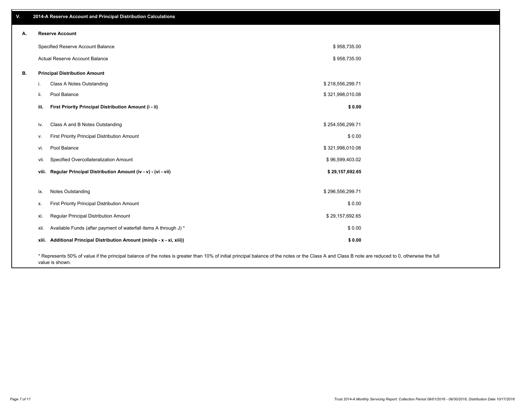| v. | 2014-A Reserve Account and Principal Distribution Calculations                                                                                                                                     |                  |  |
|----|----------------------------------------------------------------------------------------------------------------------------------------------------------------------------------------------------|------------------|--|
| А. | <b>Reserve Account</b>                                                                                                                                                                             |                  |  |
|    | Specified Reserve Account Balance                                                                                                                                                                  | \$958,735.00     |  |
|    | Actual Reserve Account Balance                                                                                                                                                                     | \$958,735.00     |  |
| В. | <b>Principal Distribution Amount</b>                                                                                                                                                               |                  |  |
|    | Class A Notes Outstanding<br>i.                                                                                                                                                                    | \$218,556,299.71 |  |
|    | Pool Balance<br>ii.                                                                                                                                                                                | \$321,998,010.08 |  |
|    | First Priority Principal Distribution Amount (i - ii)<br>iii.                                                                                                                                      | \$0.00           |  |
|    | Class A and B Notes Outstanding<br>iv.                                                                                                                                                             | \$254,556,299.71 |  |
|    | First Priority Principal Distribution Amount<br>v.                                                                                                                                                 | \$0.00           |  |
|    | Pool Balance<br>vi.                                                                                                                                                                                | \$321,998,010.08 |  |
|    | Specified Overcollateralization Amount<br>vii.                                                                                                                                                     | \$96,599,403.02  |  |
|    | viii. Regular Principal Distribution Amount (iv - v) - (vi - vii)                                                                                                                                  | \$29,157,692.65  |  |
|    | Notes Outstanding<br>ix.                                                                                                                                                                           | \$296,556,299.71 |  |
|    | First Priority Principal Distribution Amount<br>Х.                                                                                                                                                 | \$0.00           |  |
|    | Regular Principal Distribution Amount<br>xi.                                                                                                                                                       | \$29,157,692.65  |  |
|    | Available Funds (after payment of waterfall items A through J) *<br>xii.                                                                                                                           | \$0.00           |  |
|    | xiii. Additional Principal Distribution Amount (min(ix - x - xi, xiii))                                                                                                                            | \$0.00           |  |
|    | * Represents 50% of value if the principal balance of the notes is greater than 10% of initial principal balance of the notes or the Class A and Class B note are reduced to 0, otherwise the full |                  |  |

value is shown.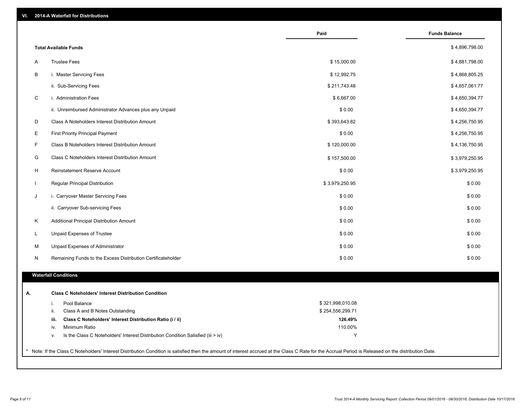|              | VI. 2014-A Waterfall for Distributions                       |                  |                      |
|--------------|--------------------------------------------------------------|------------------|----------------------|
|              |                                                              | Paid             | <b>Funds Balance</b> |
|              | <b>Total Available Funds</b>                                 |                  | \$4,896,798.00       |
| Α            | <b>Trustee Fees</b>                                          | \$15,000.00      | \$4,881,798.00       |
| В            | i. Master Servicing Fees                                     | \$12,992.75      | \$4,868,805.25       |
|              | ii. Sub-Servicing Fees                                       | \$211,743.48     | \$4,657,061.77       |
| C            | i. Administration Fees                                       | \$6,667.00       | \$4,650,394.77       |
|              | ii. Unreimbursed Administrator Advances plus any Unpaid      | \$0.00           | \$4,650,394.77       |
| D            | Class A Noteholders Interest Distribution Amount             | \$393,643.82     | \$4,256,750.95       |
| Ε            | <b>First Priority Principal Payment</b>                      | \$0.00           | \$4,256,750.95       |
| F            | Class B Noteholders Interest Distribution Amount             | \$120,000.00     | \$4,136,750.95       |
| G            | <b>Class C Noteholders Interest Distribution Amount</b>      | \$157,500.00     | \$3,979,250.95       |
| H            | Reinstatement Reserve Account                                | \$0.00           | \$3,979,250.95       |
| $\mathbf{I}$ | Regular Principal Distribution                               | \$3,979,250.95   | \$0.00               |
| J            | i. Carryover Master Servicing Fees                           | \$0.00           | \$0.00               |
|              | ii. Carryover Sub-servicing Fees                             | \$0.00           | \$0.00               |
| Κ            | Additional Principal Distribution Amount                     | \$0.00           | \$0.00               |
| Г            | Unpaid Expenses of Trustee                                   | \$0.00           | \$0.00               |
| M            | Unpaid Expenses of Administrator                             | \$0.00           | \$0.00               |
| N            | Remaining Funds to the Excess Distribution Certificateholder | \$0.00           | \$0.00               |
|              | <b>Waterfall Conditions</b>                                  |                  |                      |
| А.           | <b>Class C Noteholders' Interest Distribution Condition</b>  |                  |                      |
|              | Pool Balance<br>i.                                           | \$321,998,010.08 |                      |

ii. Class A and B Notes Outstanding **iii. Class C Noteholders' Interest Distribution Ratio (i / ii)** 110.00%  **126.49%** iv. Minimum Ratio v. Is the Class C Noteholders' Interest Distribution Condition Satisfied (iii > iv) Y Y \$ 254,556,299.71

\* Note: If the Class C Noteholders' Interest Distribution Condition is satisfied then the amount of interest accrued at the Class C Rate for the Accrual Period is Released on the distribution Date.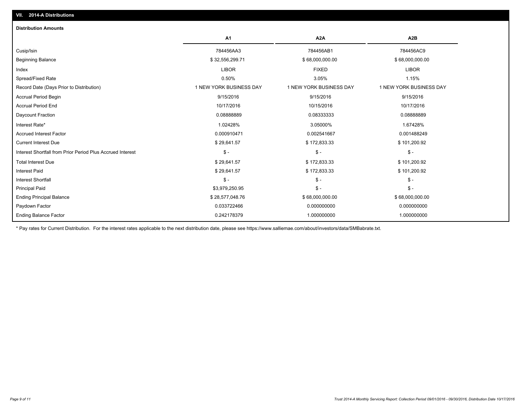| <b>Distribution Amounts</b>                                |                         |                         |                         |
|------------------------------------------------------------|-------------------------|-------------------------|-------------------------|
|                                                            | A1                      | A <sub>2</sub> A        | A <sub>2</sub> B        |
| Cusip/Isin                                                 | 784456AA3               | 784456AB1               | 784456AC9               |
| <b>Beginning Balance</b>                                   | \$32,556,299.71         | \$68,000,000.00         | \$68,000,000.00         |
| Index                                                      | <b>LIBOR</b>            | <b>FIXED</b>            | <b>LIBOR</b>            |
| Spread/Fixed Rate                                          | 0.50%                   | 3.05%                   | 1.15%                   |
| Record Date (Days Prior to Distribution)                   | 1 NEW YORK BUSINESS DAY | 1 NEW YORK BUSINESS DAY | 1 NEW YORK BUSINESS DAY |
| <b>Accrual Period Begin</b>                                | 9/15/2016               | 9/15/2016               | 9/15/2016               |
| <b>Accrual Period End</b>                                  | 10/17/2016              | 10/15/2016              | 10/17/2016              |
| Daycount Fraction                                          | 0.08888889              | 0.08333333              | 0.08888889              |
| Interest Rate*                                             | 1.02428%                | 3.05000%                | 1.67428%                |
| <b>Accrued Interest Factor</b>                             | 0.000910471             | 0.002541667             | 0.001488249             |
| <b>Current Interest Due</b>                                | \$29,641.57             | \$172,833.33            | \$101,200.92            |
| Interest Shortfall from Prior Period Plus Accrued Interest | $\mathsf{\$}$ -         | $\mathsf{\$}$ -         | $\mathsf{\$}$ -         |
| <b>Total Interest Due</b>                                  | \$29,641.57             | \$172,833.33            | \$101,200.92            |
| <b>Interest Paid</b>                                       | \$29,641.57             | \$172,833.33            | \$101,200.92            |
| <b>Interest Shortfall</b>                                  | $\mathsf{\$}$ -         | $\mathsf{\$}$ -         | $\frac{2}{3}$ -         |
| <b>Principal Paid</b>                                      | \$3,979,250.95          | $\mathsf{\$}$ -         | $S -$                   |
| <b>Ending Principal Balance</b>                            | \$28,577,048.76         | \$68,000,000.00         | \$68,000,000.00         |
| Paydown Factor                                             | 0.033722466             | 0.000000000             | 0.000000000             |
| <b>Ending Balance Factor</b>                               | 0.242178379             | 1.000000000             | 1.000000000             |

\* Pay rates for Current Distribution. For the interest rates applicable to the next distribution date, please see https://www.salliemae.com/about/investors/data/SMBabrate.txt.

**VII. 2014-A Distributions**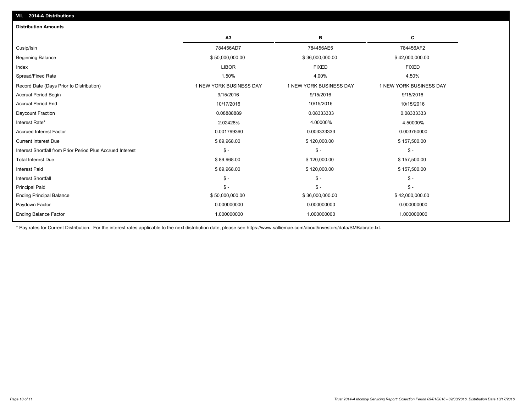| <b>Distribution Amounts</b>                                |                         |                         |                         |
|------------------------------------------------------------|-------------------------|-------------------------|-------------------------|
|                                                            | A <sub>3</sub>          | в                       | c                       |
| Cusip/Isin                                                 | 784456AD7               | 784456AE5               | 784456AF2               |
| <b>Beginning Balance</b>                                   | \$50,000,000.00         | \$36,000,000.00         | \$42,000,000.00         |
| Index                                                      | <b>LIBOR</b>            | <b>FIXED</b>            | <b>FIXED</b>            |
| Spread/Fixed Rate                                          | 1.50%                   | 4.00%                   | 4.50%                   |
| Record Date (Days Prior to Distribution)                   | 1 NEW YORK BUSINESS DAY | 1 NEW YORK BUSINESS DAY | 1 NEW YORK BUSINESS DAY |
| <b>Accrual Period Begin</b>                                | 9/15/2016               | 9/15/2016               | 9/15/2016               |
| <b>Accrual Period End</b>                                  | 10/17/2016              | 10/15/2016              | 10/15/2016              |
| Daycount Fraction                                          | 0.0888889               | 0.08333333              | 0.08333333              |
| Interest Rate*                                             | 2.02428%                | 4.00000%                | 4.50000%                |
| <b>Accrued Interest Factor</b>                             | 0.001799360             | 0.003333333             | 0.003750000             |
| <b>Current Interest Due</b>                                | \$89,968.00             | \$120,000.00            | \$157,500.00            |
| Interest Shortfall from Prior Period Plus Accrued Interest | $\mathbb{S}$ -          | $$ -$                   | $$ -$                   |
| <b>Total Interest Due</b>                                  | \$89,968.00             | \$120,000.00            | \$157,500.00            |
| <b>Interest Paid</b>                                       | \$89,968.00             | \$120,000.00            | \$157,500.00            |
| <b>Interest Shortfall</b>                                  | $S -$                   | $\mathsf{\$}$ -         | $\mathsf{\$}$ -         |
| <b>Principal Paid</b>                                      | $S -$                   | $\mathsf{\$}$ -         | $S -$                   |
| <b>Ending Principal Balance</b>                            | \$50,000,000.00         | \$36,000,000.00         | \$42,000,000.00         |
| Paydown Factor                                             | 0.000000000             | 0.000000000             | 0.000000000             |
| <b>Ending Balance Factor</b>                               | 1.000000000             | 1.000000000             | 1.000000000             |

\* Pay rates for Current Distribution. For the interest rates applicable to the next distribution date, please see https://www.salliemae.com/about/investors/data/SMBabrate.txt.

**VII. 2014-A Distributions**